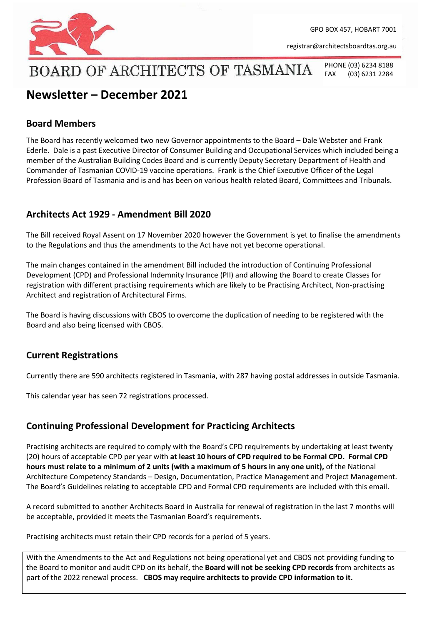

GPO BOX 457, HOBART 7001

[registrar@architectsboardtas.org.au](mailto:registrar@architectsboardtas.org.au)

# BOARD OF ARCHITECTS OF TASMANIA

PHONE (03) 6234 8188 FAX (03) 6231 2284

# **Newsletter – December 2021**

# **Board Members**

The Board has recently welcomed two new Governor appointments to the Board – Dale Webster and Frank Ederle. Dale is a past Executive Director of Consumer Building and Occupational Services which included being a member of the Australian Building Codes Board and is currently Deputy Secretary Department of Health and Commander of Tasmanian COVID-19 vaccine operations. Frank is the Chief Executive Officer of the Legal Profession Board of Tasmania and is and has been on various health related Board, Committees and Tribunals.

# **Architects Act 1929 - Amendment Bill 2020**

The Bill received Royal Assent on 17 November 2020 however the Government is yet to finalise the amendments to the Regulations and thus the amendments to the Act have not yet become operational.

The main changes contained in the amendment Bill included the introduction of Continuing Professional Development (CPD) and Professional Indemnity Insurance (PII) and allowing the Board to create Classes for registration with different practising requirements which are likely to be Practising Architect, Non-practising Architect and registration of Architectural Firms.

The Board is having discussions with CBOS to overcome the duplication of needing to be registered with the Board and also being licensed with CBOS.

## **Current Registrations**

Currently there are 590 architects registered in Tasmania, with 287 having postal addresses in outside Tasmania.

This calendar year has seen 72 registrations processed.

# **Continuing Professional Development for Practicing Architects**

Practising architects are required to comply with the Board's CPD requirements by undertaking at least twenty (20) hours of acceptable CPD per year with **at least 10 hours of CPD required to be Formal CPD. Formal CPD hours must relate to a minimum of 2 units (with a maximum of 5 hours in any one unit),** of the National Architecture Competency Standards – Design, Documentation, Practice Management and Project Management. The Board's Guidelines relating to acceptable CPD and Formal CPD requirements are included with this email.

A record submitted to another Architects Board in Australia for renewal of registration in the last 7 months will be acceptable, provided it meets the Tasmanian Board's requirements.

Practising architects must retain their CPD records for a period of 5 years.

With the Amendments to the Act and Regulations not being operational yet and CBOS not providing funding to the Board to monitor and audit CPD on its behalf, the **Board will not be seeking CPD records** from architects as part of the 2022 renewal process. **CBOS may require architects to provide CPD information to it.**